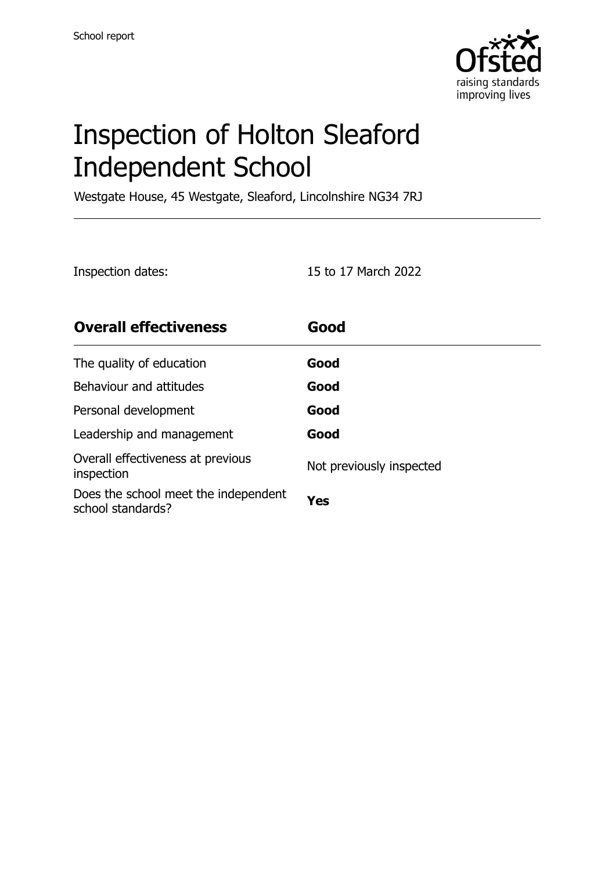

# Inspection of Holton Sleaford Independent School

Westgate House, 45 Westgate, Sleaford, Lincolnshire NG34 7RJ

| Inspection dates:                                         | 15 to 17 March 2022      |
|-----------------------------------------------------------|--------------------------|
| <b>Overall effectiveness</b>                              | Good                     |
| The quality of education                                  | Good                     |
| Behaviour and attitudes                                   | Good                     |
| Personal development                                      | Good                     |
| Leadership and management                                 | Good                     |
| Overall effectiveness at previous<br>inspection           | Not previously inspected |
| Does the school meet the independent<br>school standards? | Yes                      |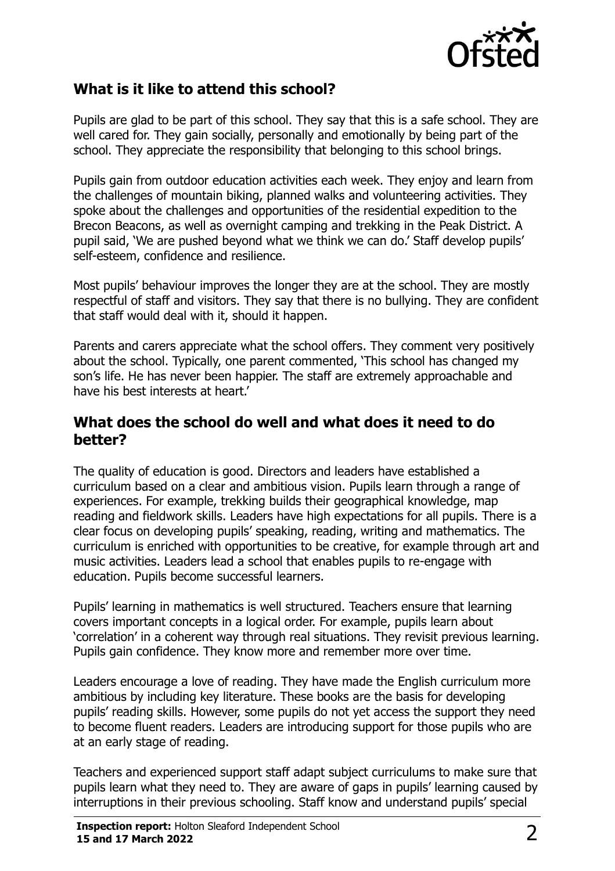

# **What is it like to attend this school?**

Pupils are glad to be part of this school. They say that this is a safe school. They are well cared for. They gain socially, personally and emotionally by being part of the school. They appreciate the responsibility that belonging to this school brings.

Pupils gain from outdoor education activities each week. They enjoy and learn from the challenges of mountain biking, planned walks and volunteering activities. They spoke about the challenges and opportunities of the residential expedition to the Brecon Beacons, as well as overnight camping and trekking in the Peak District. A pupil said, 'We are pushed beyond what we think we can do.' Staff develop pupils' self-esteem, confidence and resilience.

Most pupils' behaviour improves the longer they are at the school. They are mostly respectful of staff and visitors. They say that there is no bullying. They are confident that staff would deal with it, should it happen.

Parents and carers appreciate what the school offers. They comment very positively about the school. Typically, one parent commented, 'This school has changed my son's life. He has never been happier. The staff are extremely approachable and have his best interests at heart.'

### **What does the school do well and what does it need to do better?**

The quality of education is good. Directors and leaders have established a curriculum based on a clear and ambitious vision. Pupils learn through a range of experiences. For example, trekking builds their geographical knowledge, map reading and fieldwork skills. Leaders have high expectations for all pupils. There is a clear focus on developing pupils' speaking, reading, writing and mathematics. The curriculum is enriched with opportunities to be creative, for example through art and music activities. Leaders lead a school that enables pupils to re-engage with education. Pupils become successful learners.

Pupils' learning in mathematics is well structured. Teachers ensure that learning covers important concepts in a logical order. For example, pupils learn about 'correlation' in a coherent way through real situations. They revisit previous learning. Pupils gain confidence. They know more and remember more over time.

Leaders encourage a love of reading. They have made the English curriculum more ambitious by including key literature. These books are the basis for developing pupils' reading skills. However, some pupils do not yet access the support they need to become fluent readers. Leaders are introducing support for those pupils who are at an early stage of reading.

Teachers and experienced support staff adapt subject curriculums to make sure that pupils learn what they need to. They are aware of gaps in pupils' learning caused by interruptions in their previous schooling. Staff know and understand pupils' special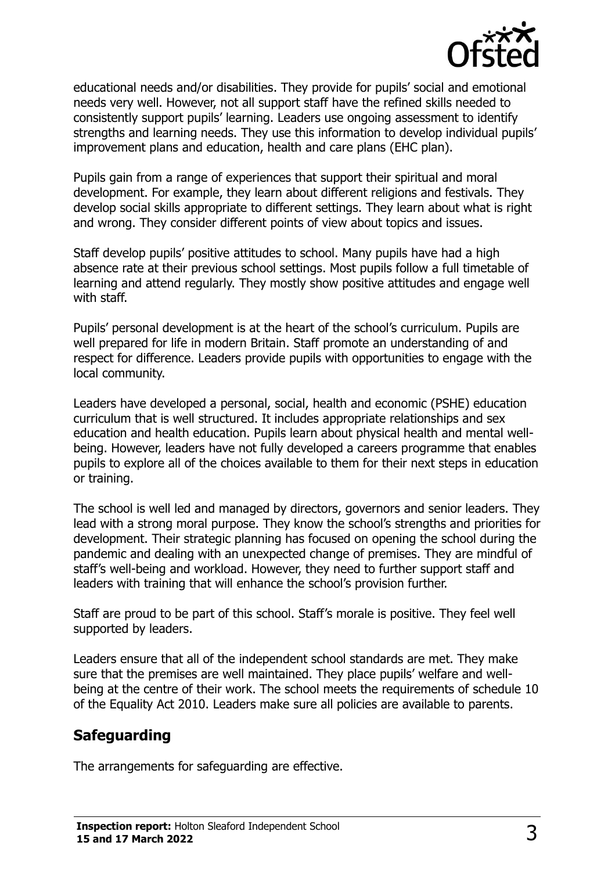

educational needs and/or disabilities. They provide for pupils' social and emotional needs very well. However, not all support staff have the refined skills needed to consistently support pupils' learning. Leaders use ongoing assessment to identify strengths and learning needs. They use this information to develop individual pupils' improvement plans and education, health and care plans (EHC plan).

Pupils gain from a range of experiences that support their spiritual and moral development. For example, they learn about different religions and festivals. They develop social skills appropriate to different settings. They learn about what is right and wrong. They consider different points of view about topics and issues.

Staff develop pupils' positive attitudes to school. Many pupils have had a high absence rate at their previous school settings. Most pupils follow a full timetable of learning and attend regularly. They mostly show positive attitudes and engage well with staff.

Pupils' personal development is at the heart of the school's curriculum. Pupils are well prepared for life in modern Britain. Staff promote an understanding of and respect for difference. Leaders provide pupils with opportunities to engage with the local community.

Leaders have developed a personal, social, health and economic (PSHE) education curriculum that is well structured. It includes appropriate relationships and sex education and health education. Pupils learn about physical health and mental wellbeing. However, leaders have not fully developed a careers programme that enables pupils to explore all of the choices available to them for their next steps in education or training.

The school is well led and managed by directors, governors and senior leaders. They lead with a strong moral purpose. They know the school's strengths and priorities for development. Their strategic planning has focused on opening the school during the pandemic and dealing with an unexpected change of premises. They are mindful of staff's well-being and workload. However, they need to further support staff and leaders with training that will enhance the school's provision further.

Staff are proud to be part of this school. Staff's morale is positive. They feel well supported by leaders.

Leaders ensure that all of the independent school standards are met. They make sure that the premises are well maintained. They place pupils' welfare and wellbeing at the centre of their work. The school meets the requirements of schedule 10 of the Equality Act 2010. Leaders make sure all policies are available to parents.

# **Safeguarding**

The arrangements for safeguarding are effective.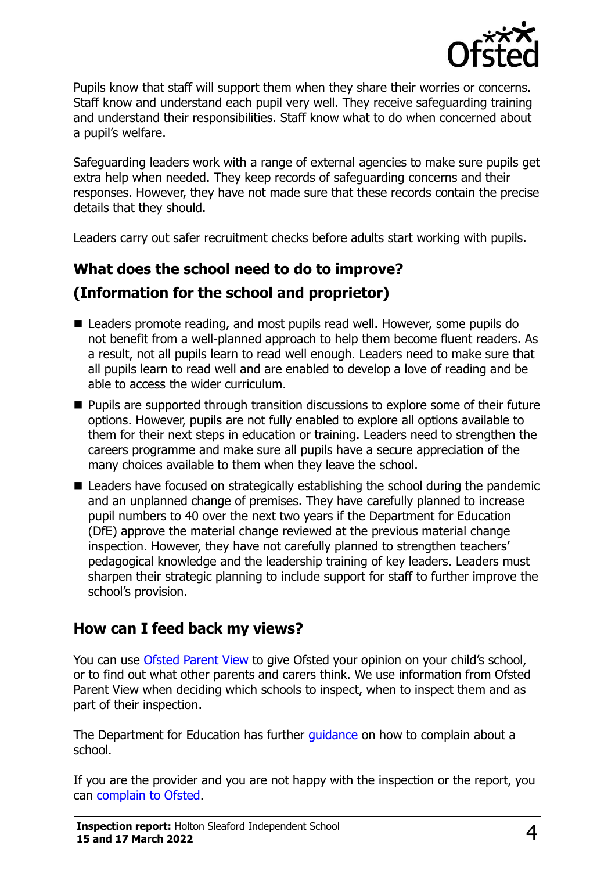

Pupils know that staff will support them when they share their worries or concerns. Staff know and understand each pupil very well. They receive safeguarding training and understand their responsibilities. Staff know what to do when concerned about a pupil's welfare.

Safeguarding leaders work with a range of external agencies to make sure pupils get extra help when needed. They keep records of safeguarding concerns and their responses. However, they have not made sure that these records contain the precise details that they should.

Leaders carry out safer recruitment checks before adults start working with pupils.

# **What does the school need to do to improve? (Information for the school and proprietor)**

- Leaders promote reading, and most pupils read well. However, some pupils do not benefit from a well-planned approach to help them become fluent readers. As a result, not all pupils learn to read well enough. Leaders need to make sure that all pupils learn to read well and are enabled to develop a love of reading and be able to access the wider curriculum.
- Pupils are supported through transition discussions to explore some of their future options. However, pupils are not fully enabled to explore all options available to them for their next steps in education or training. Leaders need to strengthen the careers programme and make sure all pupils have a secure appreciation of the many choices available to them when they leave the school.
- Leaders have focused on strategically establishing the school during the pandemic and an unplanned change of premises. They have carefully planned to increase pupil numbers to 40 over the next two years if the Department for Education (DfE) approve the material change reviewed at the previous material change inspection. However, they have not carefully planned to strengthen teachers' pedagogical knowledge and the leadership training of key leaders. Leaders must sharpen their strategic planning to include support for staff to further improve the school's provision.

## **How can I feed back my views?**

You can use [Ofsted Parent View](http://parentview.ofsted.gov.uk/) to give Ofsted your opinion on your child's school, or to find out what other parents and carers think. We use information from Ofsted Parent View when deciding which schools to inspect, when to inspect them and as part of their inspection.

The Department for Education has further quidance on how to complain about a school.

If you are the provider and you are not happy with the inspection or the report, you can [complain to Ofsted.](http://www.gov.uk/complain-ofsted-report)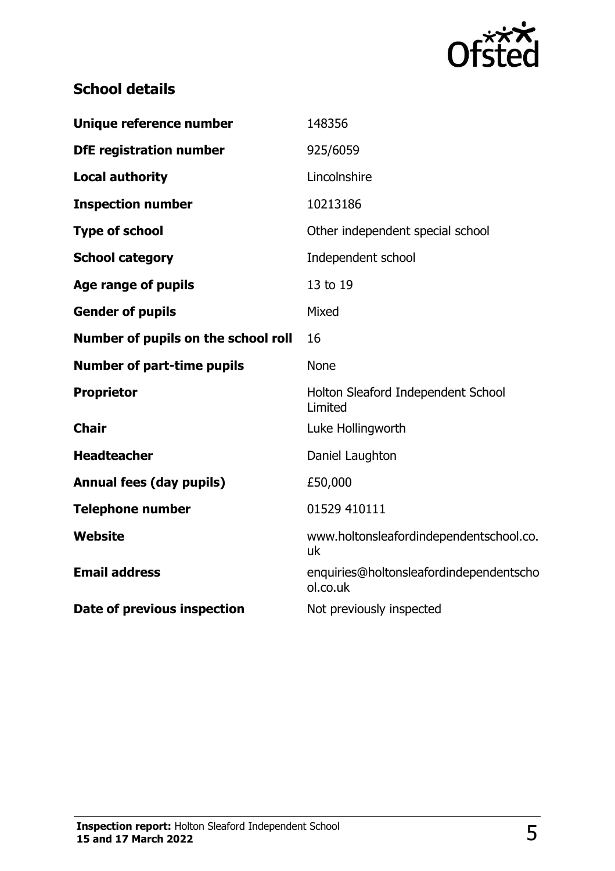

# **School details**

| Unique reference number             | 148356                                              |
|-------------------------------------|-----------------------------------------------------|
| <b>DfE registration number</b>      | 925/6059                                            |
| <b>Local authority</b>              | Lincolnshire                                        |
| <b>Inspection number</b>            | 10213186                                            |
| <b>Type of school</b>               | Other independent special school                    |
| <b>School category</b>              | Independent school                                  |
| <b>Age range of pupils</b>          | 13 to 19                                            |
| <b>Gender of pupils</b>             | Mixed                                               |
| Number of pupils on the school roll | 16                                                  |
| <b>Number of part-time pupils</b>   | <b>None</b>                                         |
| <b>Proprietor</b>                   | Holton Sleaford Independent School<br>Limited       |
| <b>Chair</b>                        | Luke Hollingworth                                   |
| <b>Headteacher</b>                  | Daniel Laughton                                     |
| <b>Annual fees (day pupils)</b>     | £50,000                                             |
| <b>Telephone number</b>             | 01529 410111                                        |
| Website                             | www.holtonsleafordindependentschool.co.<br>uk       |
| <b>Email address</b>                | enquiries@holtonsleafordindependentscho<br>ol.co.uk |
| Date of previous inspection         | Not previously inspected                            |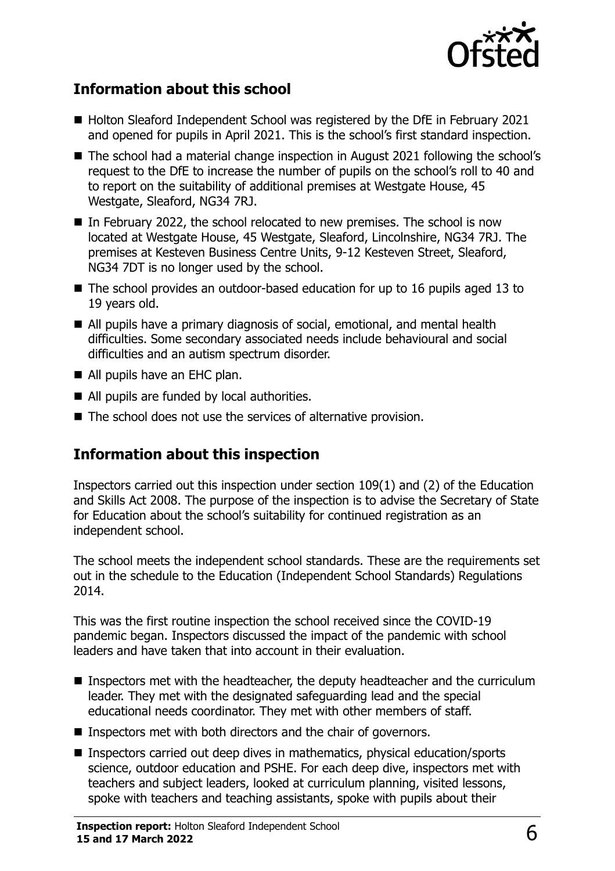

## **Information about this school**

- Holton Sleaford Independent School was registered by the DfE in February 2021 and opened for pupils in April 2021. This is the school's first standard inspection.
- The school had a material change inspection in August 2021 following the school's request to the DfE to increase the number of pupils on the school's roll to 40 and to report on the suitability of additional premises at Westgate House, 45 Westgate, Sleaford, NG34 7RJ.
- In February 2022, the school relocated to new premises. The school is now located at Westgate House, 45 Westgate, Sleaford, Lincolnshire, NG34 7RJ. The premises at Kesteven Business Centre Units, 9-12 Kesteven Street, Sleaford, NG34 7DT is no longer used by the school.
- The school provides an outdoor-based education for up to 16 pupils aged 13 to 19 years old.
- All pupils have a primary diagnosis of social, emotional, and mental health difficulties. Some secondary associated needs include behavioural and social difficulties and an autism spectrum disorder.
- All pupils have an EHC plan.
- All pupils are funded by local authorities.
- The school does not use the services of alternative provision.

# **Information about this inspection**

Inspectors carried out this inspection under section 109(1) and (2) of the Education and Skills Act 2008. The purpose of the inspection is to advise the Secretary of State for Education about the school's suitability for continued registration as an independent school.

The school meets the independent school standards. These are the requirements set out in the schedule to the Education (Independent School Standards) Regulations 2014.

This was the first routine inspection the school received since the COVID-19 pandemic began. Inspectors discussed the impact of the pandemic with school leaders and have taken that into account in their evaluation.

- Inspectors met with the headteacher, the deputy headteacher and the curriculum leader. They met with the designated safeguarding lead and the special educational needs coordinator. They met with other members of staff.
- Inspectors met with both directors and the chair of governors.
- Inspectors carried out deep dives in mathematics, physical education/sports science, outdoor education and PSHE. For each deep dive, inspectors met with teachers and subject leaders, looked at curriculum planning, visited lessons, spoke with teachers and teaching assistants, spoke with pupils about their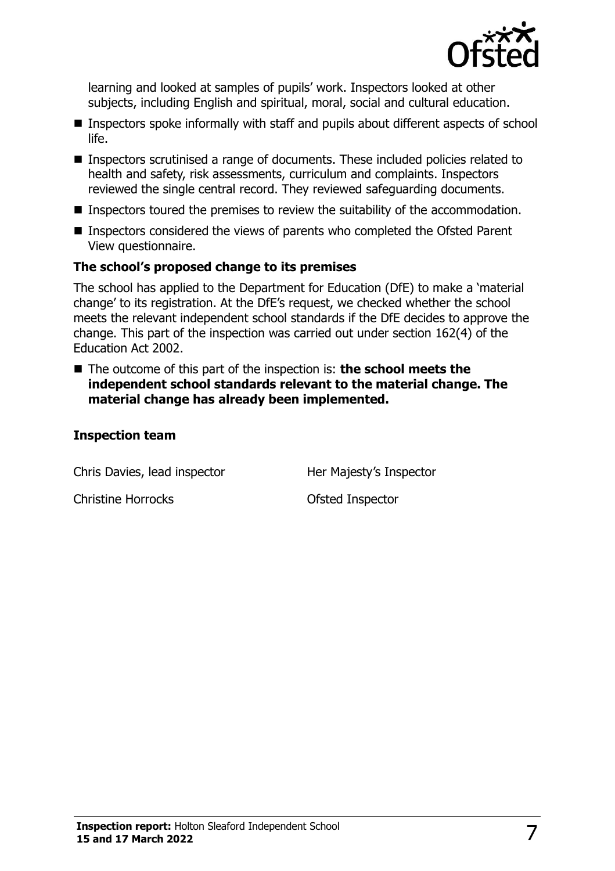

learning and looked at samples of pupils' work. Inspectors looked at other subjects, including English and spiritual, moral, social and cultural education.

- Inspectors spoke informally with staff and pupils about different aspects of school life.
- Inspectors scrutinised a range of documents. These included policies related to health and safety, risk assessments, curriculum and complaints. Inspectors reviewed the single central record. They reviewed safeguarding documents.
- Inspectors toured the premises to review the suitability of the accommodation.
- Inspectors considered the views of parents who completed the Ofsted Parent View questionnaire.

#### **The school's proposed change to its premises**

The school has applied to the Department for Education (DfE) to make a 'material change' to its registration. At the DfE's request, we checked whether the school meets the relevant independent school standards if the DfE decides to approve the change. This part of the inspection was carried out under section 162(4) of the Education Act 2002.

■ The outcome of this part of the inspection is: **the school meets the independent school standards relevant to the material change. The material change has already been implemented.**

#### **Inspection team**

Chris Davies, lead inspector **Her Majesty's Inspector** 

Christine Horrocks **Christian Constant Constant Constant Constant Constant Constant Constant Constant Constant Constant Constant Constant Constant Constant Constant Constant Constant Constant Constant Constant Constant Con**